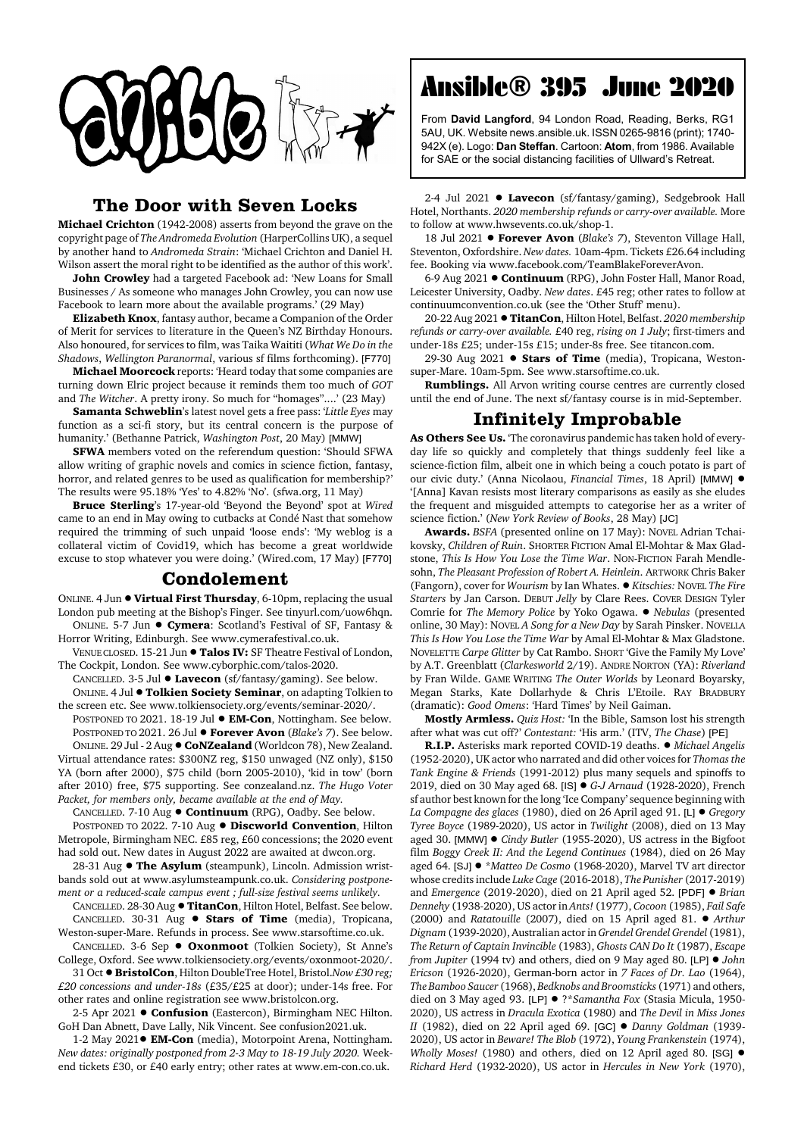

## **The Door with Seven Locks**

**Michael Crichton** (1942-2008) asserts from beyond the grave on the copyright page of *The Andromeda Evolution* (HarperCollins UK), a sequel by another hand to *Andromeda Strain*: 'Michael Crichton and Daniel H. Wilson assert the moral right to be identified as the author of this work'.

**John Crowley** had a targeted Facebook ad: 'New Loans for Small Businesses / As someone who manages John Crowley, you can now use Facebook to learn more about the available programs.' (29 May)

**Elizabeth Knox**, fantasy author, became a Companion of the Order of Merit for services to literature in the Queen's NZ Birthday Honours. Also honoured, for services to film, was Taika Waititi (*What We Do in the Shadows*, *Wellington Paranormal*, various sf films forthcoming). [F770]

**Michael Moorcock** reports: 'Heard today that some companies are turning down Elric project because it reminds them too much of *GOT* and *The Witcher*. A pretty irony. So much for "homages"....' (23 May)

**Samanta Schweblin**'s latest novel gets a free pass: '*Little Eyes* may function as a sci-fi story, but its central concern is the purpose of humanity.' (Bethanne Patrick, *Washington Post*, 20 May) [MMW]

**SFWA** members voted on the referendum question: 'Should SFWA allow writing of graphic novels and comics in science fiction, fantasy, horror, and related genres to be used as qualification for membership?' The results were 95.18% 'Yes' to 4.82% 'No'. (sfwa.org, 11 May)

**Bruce Sterling**'s 17-year-old 'Beyond the Beyond' spot at *Wired* came to an end in May owing to cutbacks at Condé Nast that somehow required the trimming of such unpaid 'loose ends': 'My weblog is a collateral victim of Covid19, which has become a great worldwide excuse to stop whatever you were doing.' (Wired.com, 17 May) [F770]

## **Condolement**

ONLINE. 4 Jun  $\bullet$  Virtual First Thursday, 6-10pm, replacing the usual London pub meeting at the Bishop's Finger. See tinyurl.com/uow6hqn.

ONLINE. 5-7 Jun  $\bullet$  Cymera: Scotland's Festival of SF, Fantasy & Horror Writing, Edinburgh. See www.cymerafestival.co.uk.

VENUE CLOSED. 15-21 Jun  $\bullet$  Talos **IV:** SF Theatre Festival of London, The Cockpit, London. See www.cyborphic.com/talos-2020.

CANCELLED. 3-5 Jul  $\bullet$  Lavecon (sf/fantasy/gaming). See below. ONLINE. 4 Jul ! **Tolkien Society Seminar**, on adapting Tolkien to

the screen etc. See www.tolkiensociety.org/events/seminar-2020/. POSTPONED TO 2021. 18-19 Jul  $\bullet$  **EM-Con**, Nottingham. See below. POSTPONED TO 2021. 26 Jul ! **Forever Avon** (*Blake's 7*). See below. ONLINE. 29 Jul - 2 Aug !**CoNZealand** (Worldcon 78), New Zealand. Virtual attendance rates: \$300NZ reg, \$150 unwaged (NZ only), \$150 YA (born after 2000), \$75 child (born 2005-2010), 'kid in tow' (born after 2010) free, \$75 supporting. See conzealand.nz. *The Hugo Voter Packet, for members only, became available at the end of May.*

CANCELLED. 7-10 Aug ! **Continuum** (RPG), Oadby. See below. POSTPONED TO 2022, 7-10 Aug  $\bullet$  **Discworld Convention**, Hilton Metropole, Birmingham NEC. £85 reg, £60 concessions; the 2020 event had sold out. New dates in August 2022 are awaited at dwcon.org.

28-31 Aug  $\bullet$  The Asylum (steampunk), Lincoln. Admission wristbands sold out at www.asylumsteampunk.co.uk. *Considering postponement or a reduced-scale campus event ; full-size festival seems unlikely.*

CANCELLED. 28-30 Aug  $\bullet$  TitanCon, Hilton Hotel, Belfast. See below. CANCELLED. 30-31 Aug  $\bullet$  **Stars of Time** (media), Tropicana, Weston-super-Mare. Refunds in process. See www.starsoftime.co.uk.

CANCELLED. 3-6 Sep ! **Oxonmoot** (Tolkien Society), St Anne's College, Oxford. See www.tolkiensociety.org/events/oxonmoot-2020/.

31 Oct ! **BristolCon**, Hilton DoubleTree Hotel, Bristol.*Now £30 reg; £20 concessions and under-18s* (£35/£25 at door); under-14s free. For other rates and online registration see www.bristolcon.org.

2-5 Apr 2021 **· Confusion** (Eastercon), Birmingham NEC Hilton. GoH Dan Abnett, Dave Lally, Nik Vincent. See confusion2021.uk.

1-2 May 2021<sup>.</sup> **EM-Con** (media), Motorpoint Arena, Nottingham. *New dates: originally postponed from 2-3 May to 18-19 July 2020.* Weekend tickets £30, or £40 early entry; other rates at www.em-con.co.uk.

## Ansible® 395 June 2020

From **David Langford**, 94 London Road, Reading, Berks, RG1 5AU, UK. Website news.ansible.uk. ISSN 0265-9816 (print); 1740- 942X (e). Logo: **Dan Steffan**. Cartoon: **Atom**, from 1986. Available for SAE or the social distancing facilities of Ullward's Retreat.

2-4 Jul 2021 . Lavecon (sf/fantasy/gaming), Sedgebrook Hall Hotel, Northants. *2020 membership refunds or carry-over available.* More to follow at www.hwsevents.co.uk/shop-1.

18 Jul 2021 **· Forever Avon** (*Blake's 7*), Steventon Village Hall, Steventon, Oxfordshire. *New dates.* 10am-4pm. Tickets £26.64 including fee. Booking via www.facebook.com/TeamBlakeForeverAvon.

6-9 Aug 2021 ! **Continuum** (RPG), John Foster Hall, Manor Road, Leicester University, Oadby. *New dates*. £45 reg; other rates to follow at continuumconvention.co.uk (see the 'Other Stuff' menu).

20-22 Aug 2021 !**TitanCon**, Hilton Hotel, Belfast. *2020 membership refunds or carry-over available.* £40 reg, *rising on 1 July*; first-timers and under-18s £25; under-15s £15; under-8s free. See titancon.com.

29-30 Aug 2021 **· Stars of Time** (media), Tropicana, Westonsuper-Mare. 10am-5pm. See www.starsoftime.co.uk.

**Rumblings.** All Arvon writing course centres are currently closed until the end of June. The next sf/fantasy course is in mid-September.

## **Infinitely Improbable**

**As Others See Us.** 'The coronavirus pandemic has taken hold of everyday life so quickly and completely that things suddenly feel like a science-fiction film, albeit one in which being a couch potato is part of our civic duty.' (Anna Nicolaou, *Financial Times*, 18 April) [MMW] ! '[Anna] Kavan resists most literary comparisons as easily as she eludes the frequent and misguided attempts to categorise her as a writer of science fiction.' (*New York Review of Books*, 28 May) [JC]

**Awards.** *BSFA* (presented online on 17 May): NOVEL Adrian Tchaikovsky, *Children of Ruin*. SHORTER FICTION Amal El-Mohtar & Max Gladstone, *This Is How You Lose the Time War*. NON-FICTION Farah Mendlesohn, *The Pleasant Profession of Robert A. Heinlein*. ARTWORK Chris Baker (Fangorn), cover for *Wourism* by Ian Whates. ! *Kitschies:* NOVEL *The Fire Starters* by Jan Carson. DEBUT *Jelly* by Clare Rees. COVER DESIGN Tyler Comrie for *The Memory Police* by Yoko Ogawa. ! *Nebulas* (presented online, 30 May): NOVEL *A Song for a New Day* by Sarah Pinsker. NOVELLA *This Is How You Lose the Time War* by Amal El-Mohtar & Max Gladstone. NOVELETTE *Carpe Glitter* by Cat Rambo. SHORT 'Give the Family My Love' by A.T. Greenblatt (*Clarkesworld* 2/19). ANDRE NORTON (YA): *Riverland* by Fran Wilde. GAME WRITING *The Outer Worlds* by Leonard Boyarsky, Megan Starks, Kate Dollarhyde & Chris L'Etoile. RAY BRADBURY (dramatic): *Good Omens*: 'Hard Times' by Neil Gaiman.

**Mostly Armless.** *Quiz Host:* 'In the Bible, Samson lost his strength after what was cut off?' *Contestant:* 'His arm.' (ITV, *The Chase*) [PE]

**R.I.P.** Asterisks mark reported COVID-19 deaths. ! *Michael Angelis* (1952-2020), UK actor who narrated and did other voices for *Thomas the Tank Engine & Friends* (1991-2012) plus many sequels and spinoffs to 2019, died on 30 May aged 68. [IS] ! *G-J Arnaud* (1928-2020), French sf author best known for the long 'Ice Company' sequence beginning with *La Compagne des glaces* (1980), died on 26 April aged 91. [L] ! *Gregory Tyree Boyce* (1989-2020), US actor in *Twilight* (2008), died on 13 May aged 30. [MMW] ! *Cindy Butler* (1955-2020), US actress in the Bigfoot film *Boggy Creek II: And the Legend Continues* (1984), died on 26 May aged 64. [SJ] ! \**Matteo De Cosmo* (1968-2020), Marvel TV art director whose credits include *Luke Cage* (2016-2018), *The Punisher* (2017-2019) and *Emergence* (2019-2020), died on 21 April aged 52. [PDF] ! *Brian Dennehy* (1938-2020), US actor in *Ants!* (1977), *Cocoon* (1985), *Fail Safe* (2000) and *Ratatouille* (2007), died on 15 April aged 81. ! *Arthur Dignam* (1939-2020), Australian actor in *Grendel Grendel Grendel* (1981), *The Return of Captain Invincible* (1983), *Ghosts CAN Do It* (1987), *Escape from Jupiter* (1994 tv) and others, died on 9 May aged 80. [LP] ! *John Ericson* (1926-2020), German-born actor in *7 Faces of Dr. Lao* (1964), *The Bamboo Saucer* (1968), *Bedknobs and Broomsticks* (1971) and others, died on 3 May aged 93. [LP] ! ?\**Samantha Fox* (Stasia Micula, 1950- 2020), US actress in *Dracula Exotica* (1980) and *The Devil in Miss Jones II* (1982), died on 22 April aged 69. [GC] ! *Danny Goldman* (1939- 2020), US actor in *Beware! The Blob* (1972), *Young Frankenstein* (1974), *Wholly Moses!* (1980) and others, died on 12 April aged 80. [SG]  $\bullet$ *Richard Herd* (1932-2020), US actor in *Hercules in New York* (1970),